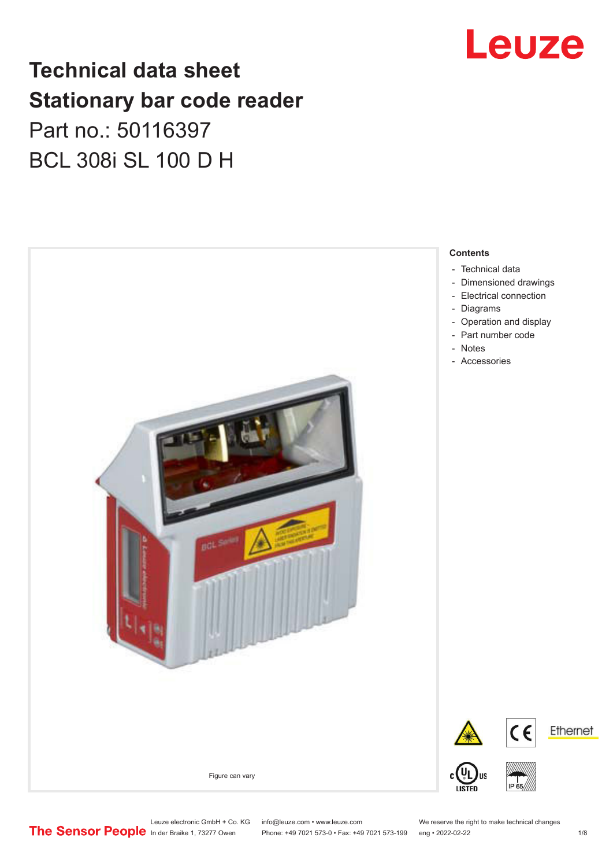# **Technical data sheet Stationary bar code reader** Part no.: 50116397 BCL 308i SL 100 D H



# Leuze

- 
- [Operation and display](#page-3-0)

Leuze electronic GmbH + Co. KG info@leuze.com • www.leuze.com We reserve the right to make technical changes<br>
The Sensor People in der Braike 1, 73277 Owen Phone: +49 7021 573-0 • Fax: +49 7021 573-199 eng • 2022-02-22

Phone: +49 7021 573-0 • Fax: +49 7021 573-199 eng • 2022-02-22 1 2022-02-22

Ethernet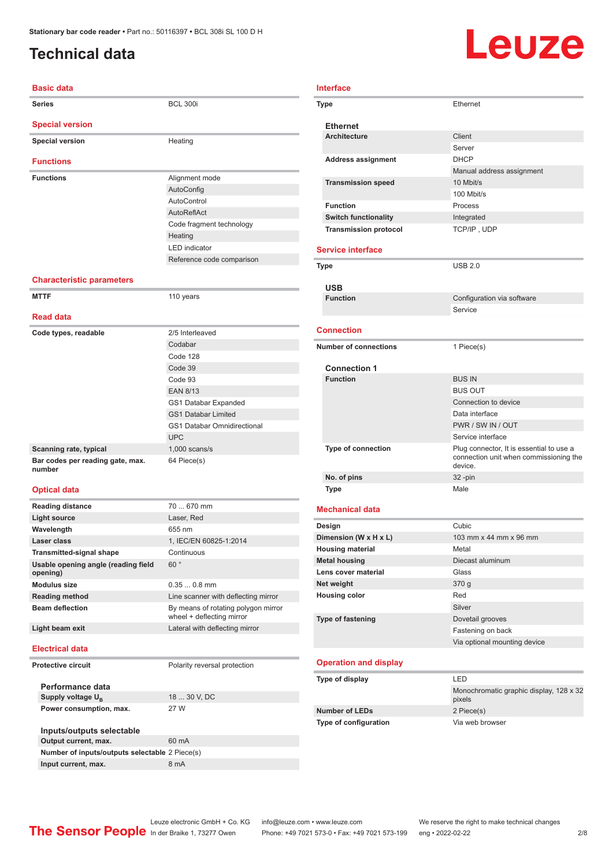# <span id="page-1-0"></span>**Technical data**

# Leuze

| <b>Basic data</b>                |                           |  |  |
|----------------------------------|---------------------------|--|--|
| <b>Series</b>                    | <b>BCL 300i</b>           |  |  |
| <b>Special version</b>           |                           |  |  |
| <b>Special version</b>           | Heating                   |  |  |
| <b>Functions</b>                 |                           |  |  |
| <b>Functions</b>                 | Alignment mode            |  |  |
|                                  | AutoConfig                |  |  |
|                                  | AutoControl               |  |  |
|                                  | AutoReflAct               |  |  |
|                                  | Code fragment technology  |  |  |
|                                  | Heating                   |  |  |
|                                  | <b>LED</b> indicator      |  |  |
|                                  | Reference code comparison |  |  |
| <b>Characteristic parameters</b> |                           |  |  |

| <b>MTTF</b>                                | 110 years                          |
|--------------------------------------------|------------------------------------|
| <b>Read data</b>                           |                                    |
| Code types, readable                       | 2/5 Interleaved                    |
|                                            | Codabar                            |
|                                            | Code 128                           |
|                                            | Code 39                            |
|                                            | Code 93                            |
|                                            | <b>EAN 8/13</b>                    |
|                                            | GS1 Databar Expanded               |
|                                            | <b>GS1 Databar Limited</b>         |
|                                            | <b>GS1 Databar Omnidirectional</b> |
|                                            | <b>UPC</b>                         |
| Scanning rate, typical                     | $1,000$ scans/s                    |
| Bar codes per reading gate, max.<br>number | 64 Piece(s)                        |

#### **Optical data**

| <b>Reading distance</b>                         | 70  670 mm                                                       |  |
|-------------------------------------------------|------------------------------------------------------------------|--|
| <b>Light source</b>                             | Laser, Red                                                       |  |
| Wavelength                                      | 655 nm                                                           |  |
| Laser class                                     | 1, IEC/EN 60825-1:2014                                           |  |
| <b>Transmitted-signal shape</b>                 | Continuous                                                       |  |
| Usable opening angle (reading field<br>opening) | 60°                                                              |  |
| Modulus size                                    | $0.35008$ mm                                                     |  |
| <b>Reading method</b>                           | Line scanner with deflecting mirror                              |  |
| <b>Beam deflection</b>                          | By means of rotating polygon mirror<br>wheel + deflecting mirror |  |
| Light beam exit                                 | Lateral with deflecting mirror                                   |  |
| <b>Electrical data</b>                          |                                                                  |  |
| Protective circuit                              | Polarity reversal protection                                     |  |
| Performance data                                |                                                                  |  |
| Supply voltage $U_{B}$                          | 18  30 V, DC                                                     |  |
| Power consumption, max.                         | 27 W                                                             |  |

| Inputs/outputs selectable                      |       |  |
|------------------------------------------------|-------|--|
| Output current, max.                           | 60 mA |  |
| Number of inputs/outputs selectable 2 Piece(s) |       |  |
| Input current, max.                            | 8 mA  |  |

|    | <b>Ethernet</b>              |                            |
|----|------------------------------|----------------------------|
|    | <b>Architecture</b>          | Client                     |
|    |                              | Server                     |
|    | <b>Address assignment</b>    | <b>DHCP</b>                |
|    |                              | Manual address assignment  |
|    | <b>Transmission speed</b>    | 10 Mbit/s                  |
|    |                              | 100 Mbit/s                 |
|    | <b>Function</b>              | Process                    |
|    | <b>Switch functionality</b>  | Integrated                 |
|    | <b>Transmission protocol</b> | TCP/IP, UDP                |
|    |                              |                            |
| วท | <b>Service interface</b>     |                            |
|    | <b>Type</b>                  | <b>USB 2.0</b>             |
|    |                              |                            |
|    | <b>USB</b>                   |                            |
|    | <b>Function</b>              | Configuration via software |
|    |                              | Service                    |
|    | <b>Connection</b>            |                            |
|    |                              |                            |
|    | <b>Number of connections</b> | 1 Piece(s)                 |
|    |                              |                            |
|    | <b>Connection 1</b>          |                            |
|    | <b>Function</b>              | <b>BUS IN</b>              |
|    |                              | <b>BUS OUT</b>             |
|    |                              | Connection to device       |
|    |                              | Data interface             |

**Type** Ethernet

**Interface**

### BUS OUT ion to device erface PWR / SW IN / OUT Service interface **Type of connection** connection unit when commissioning the device. **No. of pins** 32 -pin **Type** Male **Mechanical data Design Cubic**

| Dimension (W x H x L)    | 103 mm x 44 mm x 96 mm       |
|--------------------------|------------------------------|
| <b>Housing material</b>  | Metal                        |
| <b>Metal housing</b>     | Diecast aluminum             |
| Lens cover material      | Glass                        |
| Net weight               | 370 g                        |
| <b>Housing color</b>     | Red                          |
|                          | Silver                       |
| <b>Type of fastening</b> | Dovetail grooves             |
|                          | Fastening on back            |
|                          | Via optional mounting device |

### **Operation and display**

| Type of display              | I FD                                              |
|------------------------------|---------------------------------------------------|
|                              | Monochromatic graphic display, 128 x 32<br>pixels |
| <b>Number of LEDs</b>        | 2 Piece(s)                                        |
| <b>Type of configuration</b> | Via web browser                                   |

Leuze electronic GmbH + Co. KG info@leuze.com • www.leuze.com We reserve the right to make technical changes<br>
The Sensor People in der Braike 1, 73277 Owen Phone: +49 7021 573-0 • Fax: +49 7021 573-199 eng • 2022-02-22 Phone: +49 7021 573-0 • Fax: +49 7021 573-199 eng • 2022-02-22 2 2/8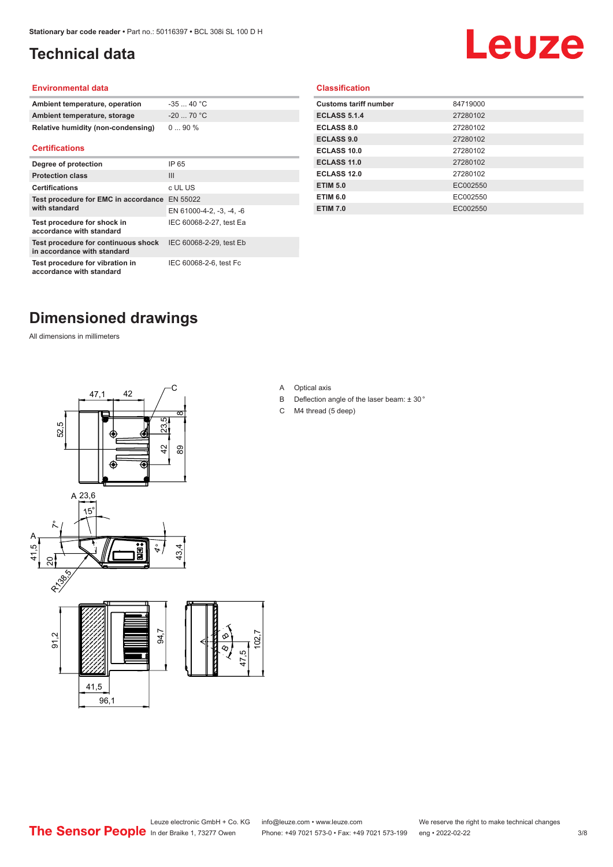# <span id="page-2-0"></span>**Technical data**

# Leuze

#### **Environmental data**

| Ambient temperature, operation     | $-3540 °C$  |
|------------------------------------|-------------|
| Ambient temperature, storage       | $-20$ 70 °C |
| Relative humidity (non-condensing) | $090\%$     |

#### **Certifications**

| Degree of protection                                               | IP 65                    |
|--------------------------------------------------------------------|--------------------------|
| <b>Protection class</b>                                            | $\mathbf{III}$           |
| <b>Certifications</b>                                              | c UL US                  |
| Test procedure for EMC in accordance EN 55022<br>with standard     |                          |
|                                                                    | EN 61000-4-2, -3, -4, -6 |
| Test procedure for shock in<br>accordance with standard            | IEC 60068-2-27, test Ea  |
| Test procedure for continuous shock<br>in accordance with standard | IEC 60068-2-29, test Eb  |
| Test procedure for vibration in<br>accordance with standard        | IEC 60068-2-6, test Fc   |

### **Classification**

| <b>Customs tariff number</b> | 84719000 |
|------------------------------|----------|
| <b>ECLASS 5.1.4</b>          | 27280102 |
| <b>ECLASS 8.0</b>            | 27280102 |
| <b>ECLASS 9.0</b>            | 27280102 |
| ECLASS 10.0                  | 27280102 |
| <b>ECLASS 11.0</b>           | 27280102 |
| ECLASS 12.0                  | 27280102 |
| <b>ETIM 5.0</b>              | EC002550 |
| <b>ETIM 6.0</b>              | EC002550 |
| <b>ETIM 7.0</b>              | EC002550 |
|                              |          |

# **Dimensioned drawings**

All dimensions in millimeters





 $\overline{8}$ 

- B Deflection angle of the laser beam: ± 30 °
- C M4 thread (5 deep)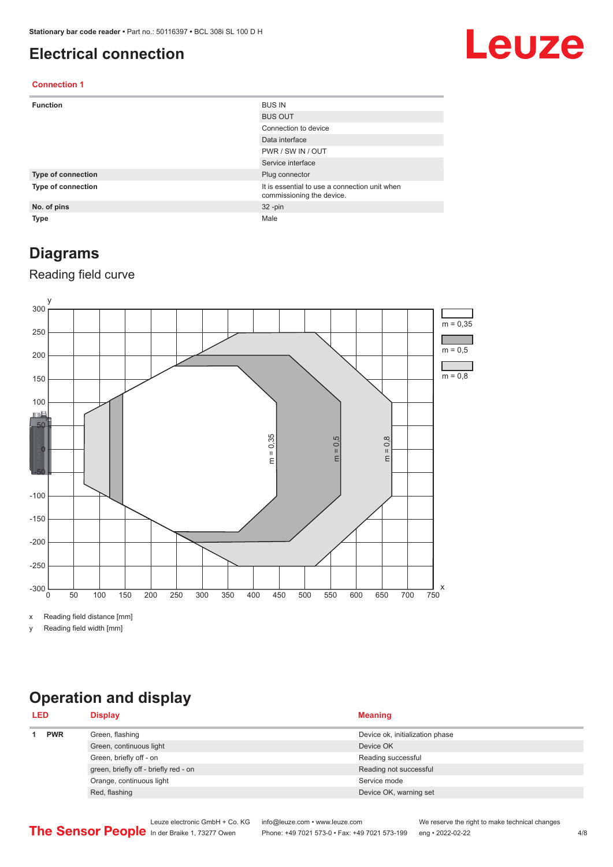## <span id="page-3-0"></span>**Electrical connection**

# Leuze

### **Connection 1**

| <b>Function</b>    | <b>BUS IN</b>                                                              |
|--------------------|----------------------------------------------------------------------------|
|                    | <b>BUS OUT</b>                                                             |
|                    | Connection to device                                                       |
|                    | Data interface                                                             |
|                    | PWR / SW IN / OUT                                                          |
|                    | Service interface                                                          |
| Type of connection | Plug connector                                                             |
| Type of connection | It is essential to use a connection unit when<br>commissioning the device. |
| No. of pins        | $32 - pin$                                                                 |
| <b>Type</b>        | Male                                                                       |

## **Diagrams**

### Reading field curve



x Reading field distance [mm]

y Reading field width [mm]

# **Operation and display**

| <b>LED</b> |            | <b>Display</b>                        | <b>Meaning</b>                  |
|------------|------------|---------------------------------------|---------------------------------|
|            | <b>PWR</b> | Green, flashing                       | Device ok, initialization phase |
|            |            | Green, continuous light               | Device OK                       |
|            |            | Green, briefly off - on               | Reading successful              |
|            |            | green, briefly off - briefly red - on | Reading not successful          |
|            |            | Orange, continuous light              | Service mode                    |
|            |            | Red, flashing                         | Device OK, warning set          |
|            |            |                                       |                                 |

|                                                      | Leuze electronic GmbH + Co. KG info@leuze.com • www.leuze.com  | We reserve the right to make technical changes |     |
|------------------------------------------------------|----------------------------------------------------------------|------------------------------------------------|-----|
| <b>The Sensor People</b> In der Braike 1, 73277 Owen | Phone: +49 7021 573-0 • Fax: +49 7021 573-199 eng • 2022-02-22 |                                                | 4/8 |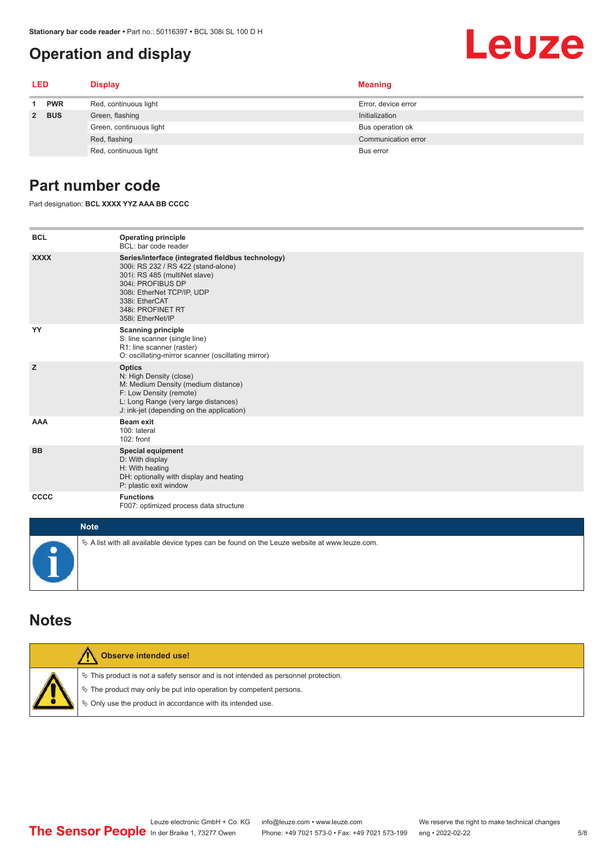# **Operation and display**

<span id="page-4-0"></span>

|       |                         | $\mu$ alionaly bar coue reader • Farthol. 50 Ho397 • BUL 3001 SL TOU D H<br><b>Operation and display</b> | Leuze               |  |  |
|-------|-------------------------|----------------------------------------------------------------------------------------------------------|---------------------|--|--|
| LED   |                         | <b>Display</b>                                                                                           | <b>Meaning</b>      |  |  |
|       | <b>PWR</b>              | Red, continuous light                                                                                    | Error, device error |  |  |
| 2 BUS |                         | Green, flashing                                                                                          | Initialization      |  |  |
|       | Green, continuous light | Bus operation ok                                                                                         |                     |  |  |
|       | Red, flashing           | Communication error                                                                                      |                     |  |  |
|       | Red, continuous light   | Bus error                                                                                                |                     |  |  |

## **Part number code**

Part designation: **BCL XXXX YYZ AAA BB CCCC**

| <b>BCL</b>  | <b>Operating principle</b><br>BCL: bar code reader                                                                                                                                                                                       |
|-------------|------------------------------------------------------------------------------------------------------------------------------------------------------------------------------------------------------------------------------------------|
| <b>XXXX</b> | Series/interface (integrated fieldbus technology)<br>300i: RS 232 / RS 422 (stand-alone)<br>301i: RS 485 (multiNet slave)<br>304i: PROFIBUS DP<br>308i: EtherNet TCP/IP, UDP<br>338i: EtherCAT<br>348i: PROFINET RT<br>358i: EtherNet/IP |
| YY          | <b>Scanning principle</b><br>S: line scanner (single line)<br>R1: line scanner (raster)<br>O: oscillating-mirror scanner (oscillating mirror)                                                                                            |
| z           | <b>Optics</b><br>N: High Density (close)<br>M: Medium Density (medium distance)<br>F: Low Density (remote)<br>L: Long Range (very large distances)<br>J: ink-jet (depending on the application)                                          |
| <b>AAA</b>  | <b>Beam exit</b><br>100: lateral<br>102: front                                                                                                                                                                                           |
| <b>BB</b>   | <b>Special equipment</b><br>D: With display<br>H: With heating<br>DH: optionally with display and heating<br>P: plastic exit window                                                                                                      |
| CCCC        | <b>Functions</b><br>F007: optimized process data structure                                                                                                                                                                               |
| <b>Note</b> |                                                                                                                                                                                                                                          |
|             | $\&$ A list with all available device types can be found on the Leuze website at www.leuze.com.                                                                                                                                          |

### **Notes**

| Observe intended use!                                                                                                                                                                                                         |
|-------------------------------------------------------------------------------------------------------------------------------------------------------------------------------------------------------------------------------|
| $\%$ This product is not a safety sensor and is not intended as personnel protection.<br>$\%$ The product may only be put into operation by competent persons.<br>§ Only use the product in accordance with its intended use. |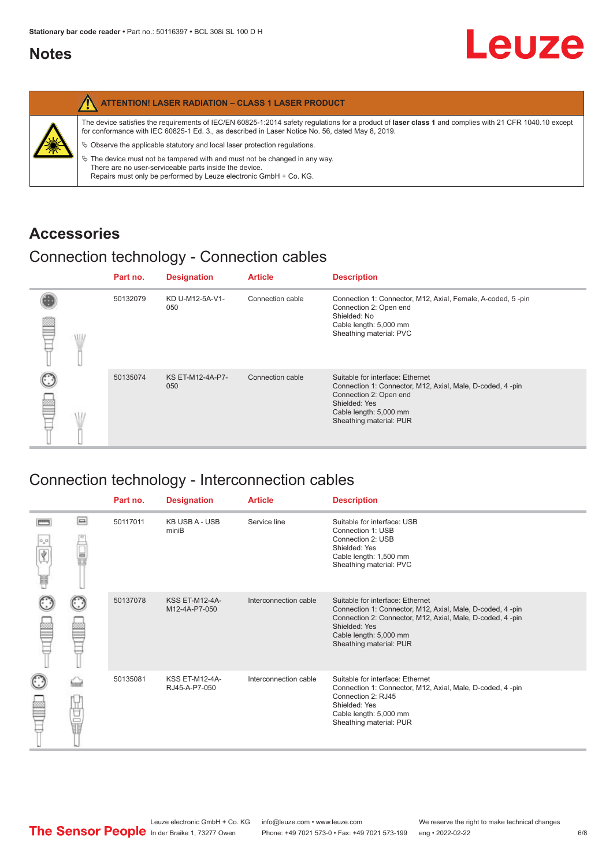## <span id="page-5-0"></span>**Notes**

|   | <b>ATTENTION! LASER RADIATION - CLASS 1 LASER PRODUCT</b>                                                                                                                                                                                                                                                                                                                                                                                                                                                                                                   |
|---|-------------------------------------------------------------------------------------------------------------------------------------------------------------------------------------------------------------------------------------------------------------------------------------------------------------------------------------------------------------------------------------------------------------------------------------------------------------------------------------------------------------------------------------------------------------|
| 纂 | The device satisfies the requirements of IEC/EN 60825-1:2014 safety requlations for a product of laser class 1 and complies with 21 CFR 1040.10 except<br>for conformance with IEC 60825-1 Ed. 3., as described in Laser Notice No. 56, dated May 8, 2019.<br>$\&$ Observe the applicable statutory and local laser protection regulations.<br>$\%$ The device must not be tampered with and must not be changed in any way.<br>There are no user-serviceable parts inside the device.<br>Repairs must only be performed by Leuze electronic GmbH + Co. KG. |

# **Accessories**

# Connection technology - Connection cables

|      | Part no. | <b>Designation</b>      | <b>Article</b>   | <b>Description</b>                                                                                                                                                                            |
|------|----------|-------------------------|------------------|-----------------------------------------------------------------------------------------------------------------------------------------------------------------------------------------------|
| \ll. | 50132079 | KD U-M12-5A-V1-<br>050  | Connection cable | Connection 1: Connector, M12, Axial, Female, A-coded, 5-pin<br>Connection 2: Open end<br>Shielded: No<br>Cable length: 5,000 mm<br>Sheathing material: PVC                                    |
|      | 50135074 | KS ET-M12-4A-P7-<br>050 | Connection cable | Suitable for interface: Ethernet<br>Connection 1: Connector, M12, Axial, Male, D-coded, 4-pin<br>Connection 2: Open end<br>Shielded: Yes<br>Cable length: 5,000 mm<br>Sheathing material: PUR |

# Connection technology - Interconnection cables

|   |           | Part no. | <b>Designation</b>                     | <b>Article</b>        | <b>Description</b>                                                                                                                                                                                                               |
|---|-----------|----------|----------------------------------------|-----------------------|----------------------------------------------------------------------------------------------------------------------------------------------------------------------------------------------------------------------------------|
| 肩 | $\Box$    | 50117011 | <b>KB USB A - USB</b><br>miniB         | Service line          | Suitable for interface: USB<br>Connection 1: USB<br>Connection 2: USB<br>Shielded: Yes<br>Cable length: 1,500 mm<br>Sheathing material: PVC                                                                                      |
|   |           | 50137078 | <b>KSS ET-M12-4A-</b><br>M12-4A-P7-050 | Interconnection cable | Suitable for interface: Ethernet<br>Connection 1: Connector, M12, Axial, Male, D-coded, 4-pin<br>Connection 2: Connector, M12, Axial, Male, D-coded, 4-pin<br>Shielded: Yes<br>Cable length: 5,000 mm<br>Sheathing material: PUR |
|   | t<br>Sepa | 50135081 | KSS ET-M12-4A-<br>RJ45-A-P7-050        | Interconnection cable | Suitable for interface: Ethernet<br>Connection 1: Connector, M12, Axial, Male, D-coded, 4-pin<br>Connection 2: RJ45<br>Shielded: Yes<br>Cable length: 5,000 mm<br>Sheathing material: PUR                                        |

Leuze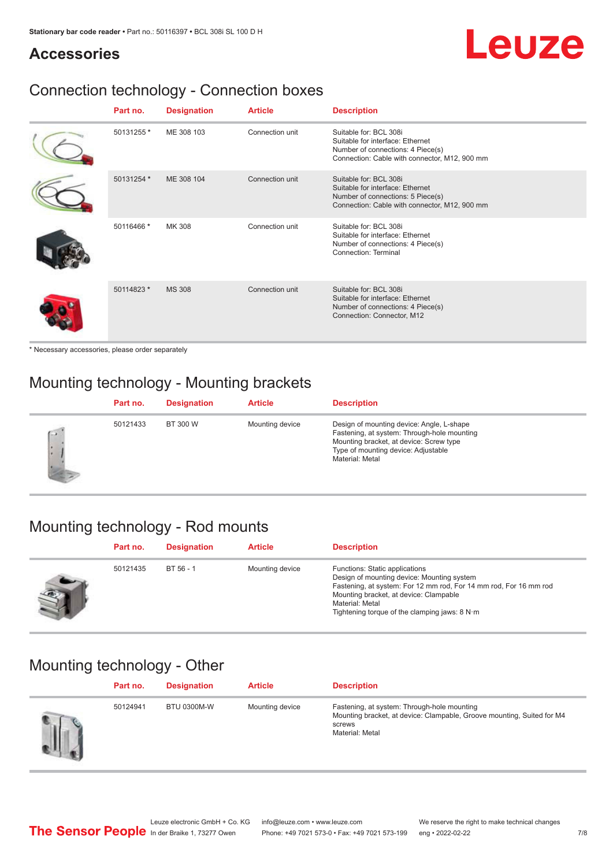# Leuze

## **Accessories**

# Connection technology - Connection boxes

| Part no.   | <b>Designation</b> | <b>Article</b>  | <b>Description</b>                                                                                                                               |
|------------|--------------------|-----------------|--------------------------------------------------------------------------------------------------------------------------------------------------|
| 50131255 * | ME 308 103         | Connection unit | Suitable for: BCL 308i<br>Suitable for interface: Ethernet<br>Number of connections: 4 Piece(s)<br>Connection: Cable with connector, M12, 900 mm |
| 50131254 * | ME 308 104         | Connection unit | Suitable for: BCL 308i<br>Suitable for interface: Ethernet<br>Number of connections: 5 Piece(s)<br>Connection: Cable with connector, M12, 900 mm |
| 50116466 * | <b>MK 308</b>      | Connection unit | Suitable for: BCL 308i<br>Suitable for interface: Ethernet<br>Number of connections: 4 Piece(s)<br>Connection: Terminal                          |
| 50114823 * | <b>MS 308</b>      | Connection unit | Suitable for: BCL 308i<br>Suitable for interface: Ethernet<br>Number of connections: 4 Piece(s)<br>Connection: Connector, M12                    |

\* Necessary accessories, please order separately

# Mounting technology - Mounting brackets

|        | Part no. | <b>Designation</b> | <b>Article</b>  | <b>Description</b>                                                                                                                                                                            |
|--------|----------|--------------------|-----------------|-----------------------------------------------------------------------------------------------------------------------------------------------------------------------------------------------|
| $\sim$ | 50121433 | BT 300 W           | Mounting device | Design of mounting device: Angle, L-shape<br>Fastening, at system: Through-hole mounting<br>Mounting bracket, at device: Screw type<br>Type of mounting device: Adjustable<br>Material: Metal |

# Mounting technology - Rod mounts

| Part no. | <b>Designation</b> | <b>Article</b>  | <b>Description</b>                                                                                                                                                                                                                                                |
|----------|--------------------|-----------------|-------------------------------------------------------------------------------------------------------------------------------------------------------------------------------------------------------------------------------------------------------------------|
| 50121435 | $BT 56 - 1$        | Mounting device | Functions: Static applications<br>Design of mounting device: Mounting system<br>Fastening, at system: For 12 mm rod, For 14 mm rod, For 16 mm rod<br>Mounting bracket, at device: Clampable<br>Material: Metal<br>Tightening torque of the clamping jaws: $8 N·m$ |

# Mounting technology - Other

| Part no. | <b>Designation</b> | <b>Article</b>  | <b>Description</b>                                                                                                                                 |
|----------|--------------------|-----------------|----------------------------------------------------------------------------------------------------------------------------------------------------|
| 50124941 | <b>BTU 0300M-W</b> | Mounting device | Fastening, at system: Through-hole mounting<br>Mounting bracket, at device: Clampable, Groove mounting, Suited for M4<br>screws<br>Material: Metal |